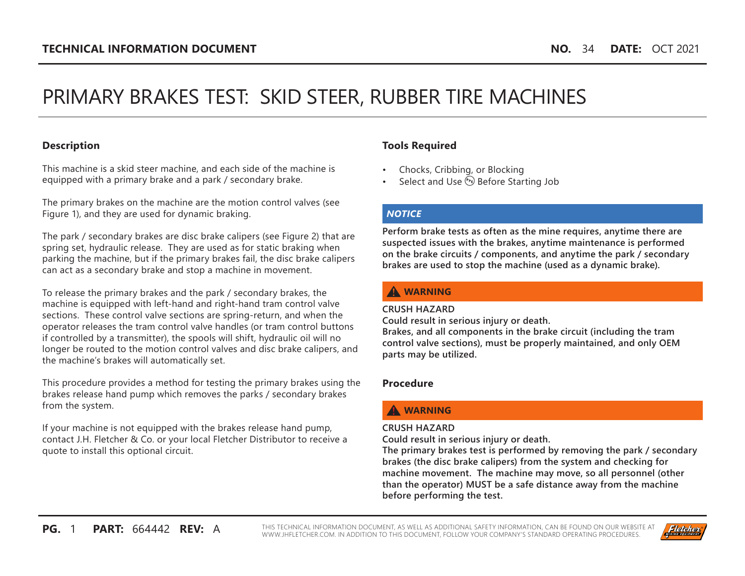# PRIMARY BRAKES TEST: SKID STEER, RUBBER TIRE MACHINES

#### **Description**

This machine is a skid steer machine, and each side of the machine is equipped with a primary brake and a park / secondary brake.

The primary brakes on the machine are the motion control valves (see Figure 1), and they are used for dynamic braking.

The park / secondary brakes are disc brake calipers (see Figure 2) that are spring set, hydraulic release. They are used as for static braking when parking the machine, but if the primary brakes fail, the disc brake calipers can act as a secondary brake and stop a machine in movement.

To release the primary brakes and the park / secondary brakes, the machine is equipped with left-hand and right-hand tram control valve sections. These control valve sections are spring-return, and when the operator releases the tram control valve handles (or tram control buttons if controlled by a transmitter), the spools will shift, hydraulic oil will no longer be routed to the motion control valves and disc brake calipers, and the machine's brakes will automatically set.

This procedure provides a method for testing the primary brakes using the brakes release hand pump which removes the parks / secondary brakes from the system.

If your machine is not equipped with the brakes release hand pump, contact J.H. Fletcher & Co. or your local Fletcher Distributor to receive a quote to install this optional circuit.

## **Tools Required**

- Chocks, Cribbing, or Blocking
- Select and Use (Defore Starting Job

#### *NOTICE*

**Perform brake tests as often as the mine requires, anytime there are suspected issues with the brakes, anytime maintenance is performed on the brake circuits / components, and anytime the park / secondary brakes are used to stop the machine (used as a dynamic brake).**

# **A** WARNING

#### **CRUSH HAZARD**

**Could result in serious injury or death.**

**Brakes, and all components in the brake circuit (including the tram control valve sections), must be properly maintained, and only OEM parts may be utilized.**

#### **Procedure**

# **WARNING**

#### **CRUSH HAZARD**

**Could result in serious injury or death.**

**The primary brakes test is performed by removing the park / secondary brakes (the disc brake calipers) from the system and checking for machine movement. The machine may move, so all personnel (other than the operator) MUST be a safe distance away from the machine before performing the test.**

**PG.** 1 **PART:** 664442 **REV:** A THIS TECHNICAL INFORMATION DOCUMENT, AS WELL AS ADDITIONAL SAFETY INFORMATION, CAN BE FOUND ON OUR WEBSITE AT [WWW.JHFLETCHER.COM.](http://www.jhfletcher.com) IN ADDITION TO THIS DOCUMENT, FOLLOW YOUR COMPANY'S STANDARD OPERATING PROCEDURES.

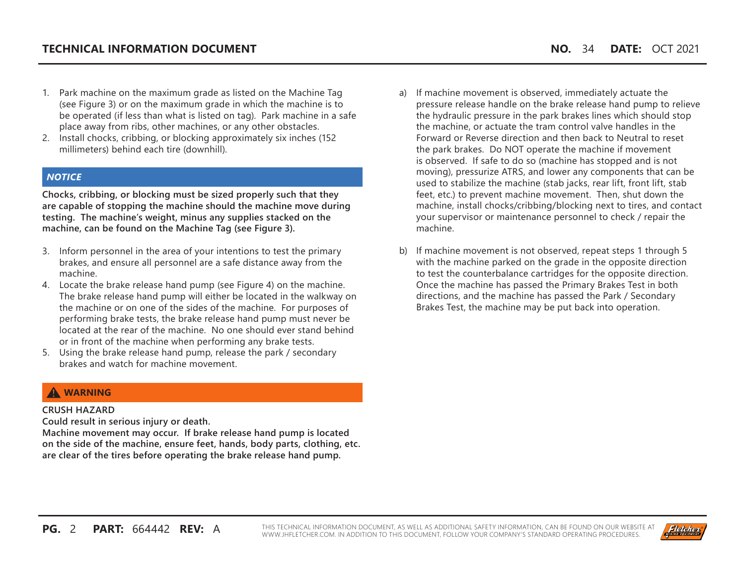- 1. Park machine on the maximum grade as listed on the Machine Tag (see Figure 3) or on the maximum grade in which the machine is to be operated (if less than what is listed on tag). Park machine in a safe place away from ribs, other machines, or any other obstacles.
- 2. Install chocks, cribbing, or blocking approximately six inches (152 millimeters) behind each tire (downhill).

#### *NOTICE*

**Chocks, cribbing, or blocking must be sized properly such that they are capable of stopping the machine should the machine move during testing. The machine's weight, minus any supplies stacked on the machine, can be found on the Machine Tag (see Figure 3).**

- 3. Inform personnel in the area of your intentions to test the primary brakes, and ensure all personnel are a safe distance away from the machine.
- 4. Locate the brake release hand pump (see Figure 4) on the machine. The brake release hand pump will either be located in the walkway on the machine or on one of the sides of the machine. For purposes of performing brake tests, the brake release hand pump must never be located at the rear of the machine. No one should ever stand behind or in front of the machine when performing any brake tests.
- 5. Using the brake release hand pump, release the park / secondary brakes and watch for machine movement.

## **WARNING**

#### **CRUSH HAZARD**

**Could result in serious injury or death.**

**Machine movement may occur. If brake release hand pump is located on the side of the machine, ensure feet, hands, body parts, clothing, etc. are clear of the tires before operating the brake release hand pump.**

- a) If machine movement is observed, immediately actuate the pressure release handle on the brake release hand pump to relieve the hydraulic pressure in the park brakes lines which should stop the machine, or actuate the tram control valve handles in the Forward or Reverse direction and then back to Neutral to reset the park brakes. Do NOT operate the machine if movement is observed. If safe to do so (machine has stopped and is not moving), pressurize ATRS, and lower any components that can be used to stabilize the machine (stab jacks, rear lift, front lift, stab feet, etc.) to prevent machine movement. Then, shut down the machine, install chocks/cribbing/blocking next to tires, and contact your supervisor or maintenance personnel to check / repair the machine.
- b) If machine movement is not observed, repeat steps 1 through 5 with the machine parked on the grade in the opposite direction to test the counterbalance cartridges for the opposite direction. Once the machine has passed the Primary Brakes Test in both directions, and the machine has passed the Park / Secondary Brakes Test, the machine may be put back into operation.